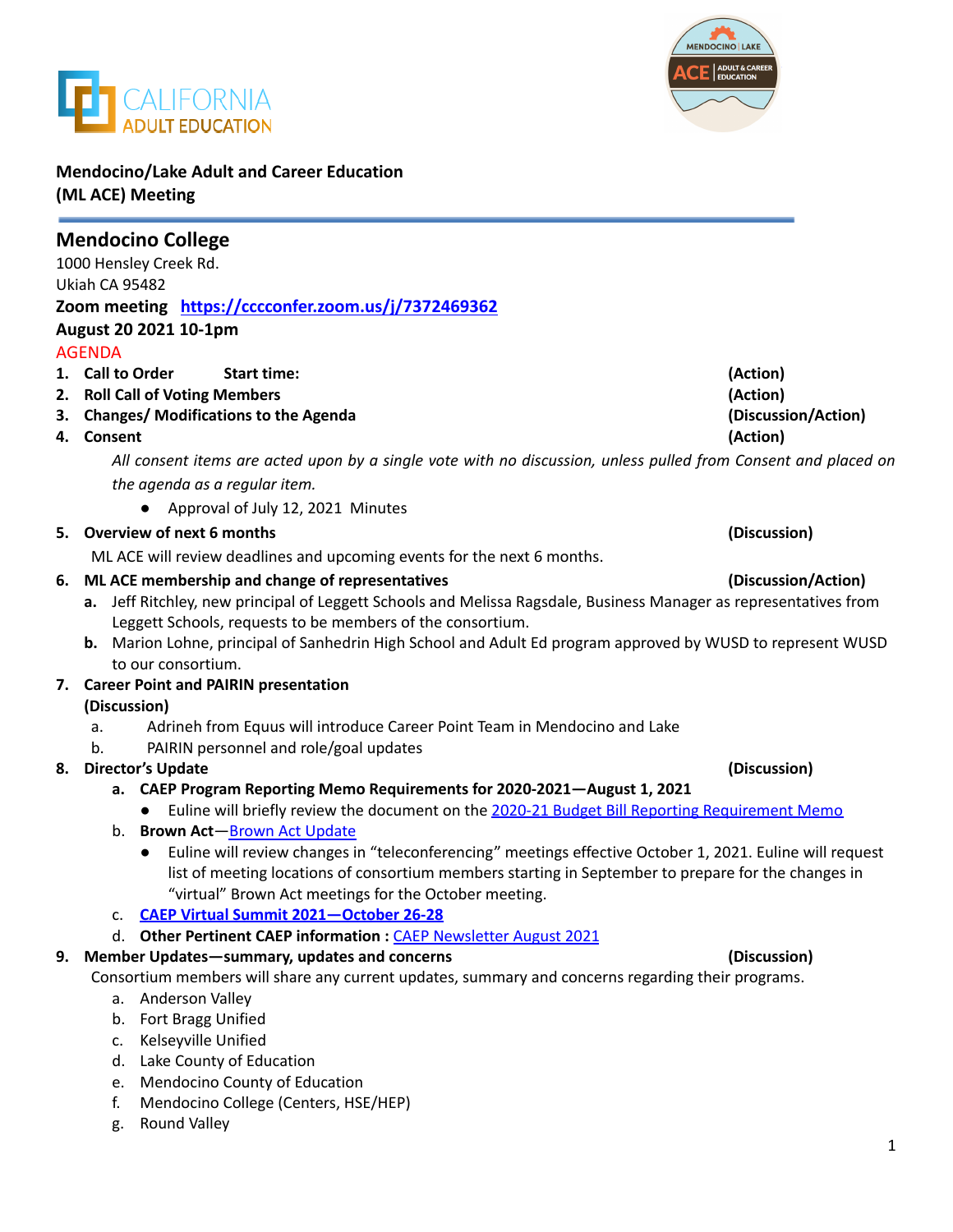



**Mendocino/Lake Adult and Career Education (ML ACE) Meeting**

|    | <b>Mendocino College</b>                                                                                                                    |                                                                                                          |
|----|---------------------------------------------------------------------------------------------------------------------------------------------|----------------------------------------------------------------------------------------------------------|
|    | 1000 Hensley Creek Rd.                                                                                                                      |                                                                                                          |
|    | Ukiah CA 95482                                                                                                                              |                                                                                                          |
|    | Zoom meeting https://cccconfer.zoom.us/j/7372469362                                                                                         |                                                                                                          |
|    | August 20 2021 10-1pm                                                                                                                       |                                                                                                          |
|    | <b>AGENDA</b>                                                                                                                               |                                                                                                          |
|    | 1. Call to Order<br><b>Start time:</b>                                                                                                      | (Action)                                                                                                 |
| 2. | <b>Roll Call of Voting Members</b>                                                                                                          | (Action)                                                                                                 |
| 3. | <b>Changes/ Modifications to the Agenda</b>                                                                                                 | (Discussion/Action)                                                                                      |
| 4. | <b>Consent</b>                                                                                                                              | (Action)                                                                                                 |
|    | All consent items are acted upon by a single vote with no discussion, unless pulled from Consent and placed on                              |                                                                                                          |
|    | the agenda as a regular item.                                                                                                               |                                                                                                          |
|    | Approval of July 12, 2021 Minutes                                                                                                           |                                                                                                          |
|    | 5. Overview of next 6 months                                                                                                                | (Discussion)                                                                                             |
|    | ML ACE will review deadlines and upcoming events for the next 6 months.                                                                     |                                                                                                          |
| 6. | ML ACE membership and change of representatives                                                                                             | (Discussion/Action)                                                                                      |
|    | a. Jeff Ritchley, new principal of Leggett Schools and Melissa Ragsdale, Business Manager as representatives from                           |                                                                                                          |
|    | Leggett Schools, requests to be members of the consortium.                                                                                  |                                                                                                          |
|    | b. Marion Lohne, principal of Sanhedrin High School and Adult Ed program approved by WUSD to represent WUSD                                 |                                                                                                          |
|    | to our consortium.                                                                                                                          |                                                                                                          |
|    | 7. Career Point and PAIRIN presentation                                                                                                     |                                                                                                          |
|    | (Discussion)                                                                                                                                |                                                                                                          |
|    | Adrineh from Equus will introduce Career Point Team in Mendocino and Lake<br>a.                                                             |                                                                                                          |
|    | PAIRIN personnel and role/goal updates<br>b.                                                                                                |                                                                                                          |
| 8. | <b>Director's Update</b>                                                                                                                    | (Discussion)                                                                                             |
|    | a. CAEP Program Reporting Memo Requirements for 2020-2021-August 1, 2021                                                                    |                                                                                                          |
|    | Euline will briefly review the document on the 2020-21 Budget Bill Reporting Requirement Memo<br>$\bullet$<br>b. Brown Act-Brown Act Update |                                                                                                          |
|    | $\bullet$                                                                                                                                   | Euline will review changes in "teleconferencing" meetings effective October 1, 2021. Euline will request |
|    | list of meeting locations of consortium members starting in September to prepare for the changes in                                         |                                                                                                          |
|    | "virtual" Brown Act meetings for the October meeting.                                                                                       |                                                                                                          |
|    | <b>CAEP Virtual Summit 2021-October 26-28</b>                                                                                               |                                                                                                          |
|    | d. Other Pertinent CAEP information: CAEP Newsletter August 2021                                                                            |                                                                                                          |
|    | 9. Member Updates-summary, updates and concerns                                                                                             | (Discussion)                                                                                             |
|    | Consortium members will share any current updates, summary and concerns regarding their programs.                                           |                                                                                                          |
|    | a. Anderson Valley                                                                                                                          |                                                                                                          |
|    | b. Fort Bragg Unified                                                                                                                       |                                                                                                          |
|    | Kelseyville Unified<br>c.                                                                                                                   |                                                                                                          |
|    | d. Lake County of Education                                                                                                                 |                                                                                                          |
|    | e. Mendocino County of Education                                                                                                            |                                                                                                          |
|    | f.<br>Mendocino College (Centers, HSE/HEP)                                                                                                  |                                                                                                          |